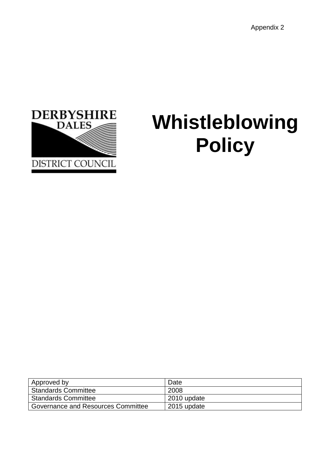

# **Whistleblowing Policy**

| Approved by                        | Date        |
|------------------------------------|-------------|
| <b>Standards Committee</b>         | 2008        |
| <b>Standards Committee</b>         | 2010 update |
| Governance and Resources Committee | 2015 update |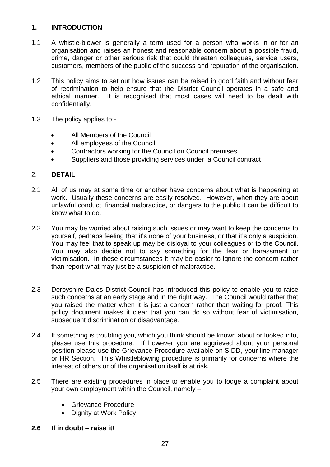## **1. INTRODUCTION**

- 1.1 A whistle-blower is generally a term used for a person who works in or for an organisation and raises an honest and reasonable concern about a possible fraud, crime, danger or other serious risk that could threaten colleagues, service users, customers, members of the public of the success and reputation of the organisation.
- 1.2 This policy aims to set out how issues can be raised in good faith and without fear of recrimination to help ensure that the District Council operates in a safe and ethical manner. It is recognised that most cases will need to be dealt with confidentially.
- 1.3 The policy applies to:-
	- All Members of the Council
	- All employees of the Council
	- Contractors working for the Council on Council premises
	- Suppliers and those providing services under a Council contract

#### 2. **DETAIL**

- 2.1 All of us may at some time or another have concerns about what is happening at work. Usually these concerns are easily resolved. However, when they are about unlawful conduct, financial malpractice, or dangers to the public it can be difficult to know what to do.
- 2.2 You may be worried about raising such issues or may want to keep the concerns to yourself, perhaps feeling that it's none of your business, or that it's only a suspicion. You may feel that to speak up may be disloyal to your colleagues or to the Council. You may also decide not to say something for the fear or harassment or victimisation. In these circumstances it may be easier to ignore the concern rather than report what may just be a suspicion of malpractice.
- 2.3 Derbyshire Dales District Council has introduced this policy to enable you to raise such concerns at an early stage and in the right way. The Council would rather that you raised the matter when it is just a concern rather than waiting for proof. This policy document makes it clear that you can do so without fear of victimisation, subsequent discrimination or disadvantage.
- 2.4 If something is troubling you, which you think should be known about or looked into, please use this procedure. If however you are aggrieved about your personal position please use the Grievance Procedure available on SIDD, your line manager or HR Section. This Whistleblowing procedure is primarily for concerns where the interest of others or of the organisation itself is at risk.
- 2.5 There are existing procedures in place to enable you to lodge a complaint about your own employment within the Council, namely –
	- Grievance Procedure
	- Dignity at Work Policy
- **2.6 If in doubt – raise it!**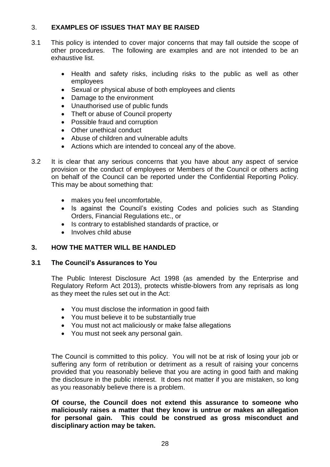## 3. **EXAMPLES OF ISSUES THAT MAY BE RAISED**

- 3.1 This policy is intended to cover major concerns that may fall outside the scope of other procedures. The following are examples and are not intended to be an exhaustive list.
	- Health and safety risks, including risks to the public as well as other employees
	- Sexual or physical abuse of both employees and clients
	- Damage to the environment
	- Unauthorised use of public funds
	- Theft or abuse of Council property
	- Possible fraud and corruption
	- Other unethical conduct
	- Abuse of children and vulnerable adults
	- Actions which are intended to conceal any of the above.
- 3.2 It is clear that any serious concerns that you have about any aspect of service provision or the conduct of employees or Members of the Council or others acting on behalf of the Council can be reported under the Confidential Reporting Policy. This may be about something that:
	- makes you feel uncomfortable,
	- Is against the Council's existing Codes and policies such as Standing Orders, Financial Regulations etc., or
	- Is contrary to established standards of practice, or
	- Involves child abuse

## **3. HOW THE MATTER WILL BE HANDLED**

## **3.1 The Council's Assurances to You**

The Public Interest Disclosure Act 1998 (as amended by the Enterprise and Regulatory Reform Act 2013), protects whistle-blowers from any reprisals as long as they meet the rules set out in the Act:

- You must disclose the information in good faith
- You must believe it to be substantially true
- You must not act maliciously or make false allegations
- You must not seek any personal gain.

The Council is committed to this policy. You will not be at risk of losing your job or suffering any form of retribution or detriment as a result of raising your concerns provided that you reasonably believe that you are acting in good faith and making the disclosure in the public interest. It does not matter if you are mistaken, so long as you reasonably believe there is a problem.

**Of course, the Council does not extend this assurance to someone who maliciously raises a matter that they know is untrue or makes an allegation for personal gain. This could be construed as gross misconduct and disciplinary action may be taken.**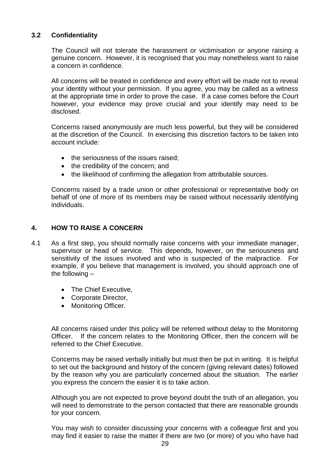## **3.2 Confidentiality**

The Council will not tolerate the harassment or victimisation or anyone raising a genuine concern. However, it is recognised that you may nonetheless want to raise a concern in confidence.

All concerns will be treated in confidence and every effort will be made not to reveal your identity without your permission. If you agree, you may be called as a witness at the appropriate time in order to prove the case. If a case comes before the Court however, your evidence may prove crucial and your identify may need to be disclosed.

Concerns raised anonymously are much less powerful, but they will be considered at the discretion of the Council. In exercising this discretion factors to be taken into account include:

- the seriousness of the issues raised;
- the credibility of the concern; and
- the likelihood of confirming the allegation from attributable sources.

Concerns raised by a trade union or other professional or representative body on behalf of one of more of its members may be raised without necessarily identifying individuals.

#### **4. HOW TO RAISE A CONCERN**

- 4.1 As a first step, you should normally raise concerns with your immediate manager, supervisor or head of service. This depends, however, on the seriousness and sensitivity of the issues involved and who is suspected of the malpractice. For example, if you believe that management is involved, you should approach one of the following –
	- The Chief Executive.
	- Corporate Director,
	- Monitoring Officer.

All concerns raised under this policy will be referred without delay to the Monitoring Officer. If the concern relates to the Monitoring Officer, then the concern will be referred to the Chief Executive.

Concerns may be raised verbally initially but must then be put in writing. It is helpful to set out the background and history of the concern (giving relevant dates) followed by the reason why you are particularly concerned about the situation. The earlier you express the concern the easier it is to take action.

Although you are not expected to prove beyond doubt the truth of an allegation, you will need to demonstrate to the person contacted that there are reasonable grounds for your concern.

You may wish to consider discussing your concerns with a colleague first and you may find it easier to raise the matter if there are two (or more) of you who have had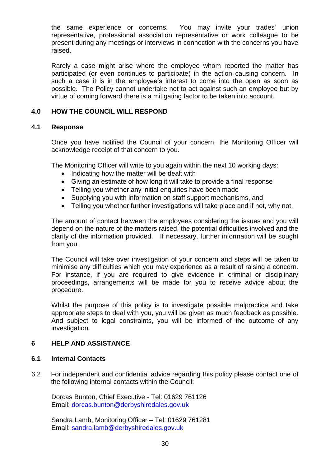the same experience or concerns. You may invite your trades' union representative, professional association representative or work colleague to be present during any meetings or interviews in connection with the concerns you have raised.

Rarely a case might arise where the employee whom reported the matter has participated (or even continues to participate) in the action causing concern. In such a case it is in the employee's interest to come into the open as soon as possible. The Policy cannot undertake not to act against such an employee but by virtue of coming forward there is a mitigating factor to be taken into account.

## **4.0 HOW THE COUNCIL WILL RESPOND**

#### **4.1 Response**

Once you have notified the Council of your concern, the Monitoring Officer will acknowledge receipt of that concern to you.

The Monitoring Officer will write to you again within the next 10 working days:

- Indicating how the matter will be dealt with
- Giving an estimate of how long it will take to provide a final response
- Telling you whether any initial enquiries have been made
- Supplying you with information on staff support mechanisms, and
- Telling you whether further investigations will take place and if not, why not.

The amount of contact between the employees considering the issues and you will depend on the nature of the matters raised, the potential difficulties involved and the clarity of the information provided. If necessary, further information will be sought from you.

The Council will take over investigation of your concern and steps will be taken to minimise any difficulties which you may experience as a result of raising a concern. For instance, if you are required to give evidence in criminal or disciplinary proceedings, arrangements will be made for you to receive advice about the procedure.

Whilst the purpose of this policy is to investigate possible malpractice and take appropriate steps to deal with you, you will be given as much feedback as possible. And subject to legal constraints, you will be informed of the outcome of any investigation.

#### **6 HELP AND ASSISTANCE**

#### **6.1 Internal Contacts**

6.2 For independent and confidential advice regarding this policy please contact one of the following internal contacts within the Council:

Dorcas Bunton, Chief Executive - Tel: 01629 761126 Email: [dorcas.bunton@derbyshiredales.gov.uk](mailto:dorcas.bunton@derbyshiredales.gov.uk)

Sandra Lamb, Monitoring Officer – Tel: 01629 761281 Email: [sandra.lamb@derbyshiredales.gov.uk](mailto:sandra.lamb@derbyshiredales.gov.uk)